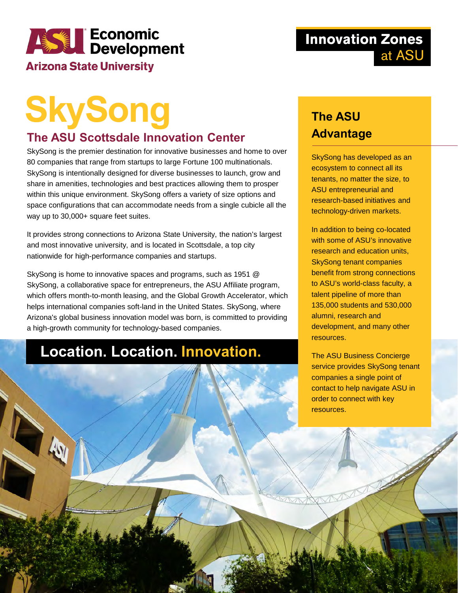## **ASSES Economic**<br>Development

#### **Arizona State University**

Des Ro

#### **Innovation Zones** at ASU

# **SkySong**

#### **The ASU Scottsdale Innovation Center**

SkySong is the premier destination for innovative businesses and home to over 80 companies that range from startups to large Fortune 100 multinationals. SkySong is intentionally designed for diverse businesses to launch, grow and share in amenities, technologies and best practices allowing them to prosper within this unique environment. SkySong offers a variety of size options and space configurations that can accommodate needs from a single cubicle all the way up to 30,000+ square feet suites.

It provides strong connections to Arizona State University, the nation's largest and most innovative university, and is located in Scottsdale, a top city nationwide for high-performance companies and startups.

SkySong is home to innovative spaces and programs, such as 1951 @ SkySong, a collaborative space for entrepreneurs, the ASU Affiliate program, which offers month-to-month leasing, and the Global Growth Accelerator, which helps international companies soft-land in the United States. SkySong, where Arizona's global business innovation model was born, is committed to providing a high-growth community for technology-based companies.

#### **Location. Location. Innovation.**

#### **The ASU Advantage**

SkySong has developed as an ecosystem to connect all its tenants, no matter the size, to ASU entrepreneurial and research-based initiatives and technology-driven markets.

In addition to being co-located with some of ASU's innovative research and education units, SkySong tenant companies benefit from strong connections to ASU's world-class faculty, a talent pipeline of more than 135,000 students and 530,000 alumni, research and development, and many other resources.

The ASU Business Concierge service provides SkySong tenant companies a single point of contact to help navigate ASU in order to connect with key resources.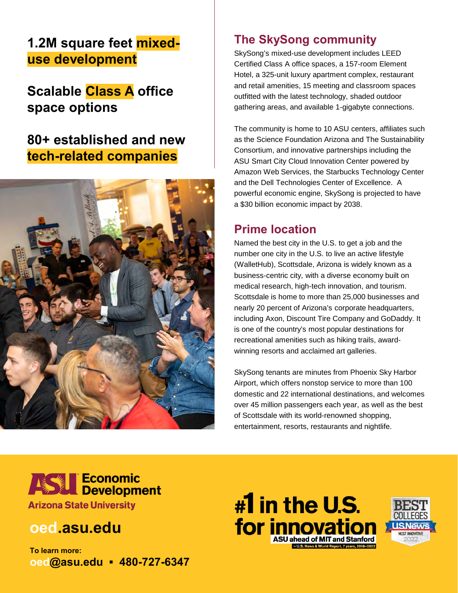#### **1.2M square feet mixeduse development**

#### **Scalable Class A office space options**

#### **80+ established and new tech-related companies**



#### **The SkySong community**

SkySong's mixed-use development includes LEED Certified Class A office spaces, a 157-room Element Hotel, a 325-unit luxury apartment complex, restaurant and retail amenities, 15 meeting and classroom spaces outfitted with the latest technology, shaded outdoor gathering areas, and available 1-gigabyte connections.

The community is home to 10 ASU centers, affiliates such as the Science Foundation Arizona and The Sustainability Consortium, and innovative partnerships including the ASU Smart City Cloud Innovation Center powered by Amazon Web Services, the Starbucks Technology Center and the Dell Technologies Center of Excellence. A powerful economic engine, SkySong is projected to have a \$30 billion economic impact by 2038.

#### **Prime location**

Named the best city in the U.S. to get a job and the number one city in the U.S. to live an active lifestyle (WalletHub), Scottsdale, Arizona is widely known as a business-centric city, with a diverse economy built on medical research, high-tech innovation, and tourism. Scottsdale is home to more than 25,000 businesses and nearly 20 percent of Arizona's corporate headquarters, including Axon, Discount Tire Company and GoDaddy. It is one of the country's most popular destinations for recreational amenities such as hiking trails, awardwinning resorts and acclaimed art galleries.

SkySong tenants are minutes from Phoenix Sky Harbor Airport, which offers nonstop service to more than 100 domestic and 22 international destinations, and welcomes over 45 million passengers each year, as well as the best of Scottsdale with its world-renowned shopping, entertainment, resorts, restaurants and nightlife.



#### **oed.asu.edu**

**To learn more: oed@asu.edu ▪ 480-727-6347**